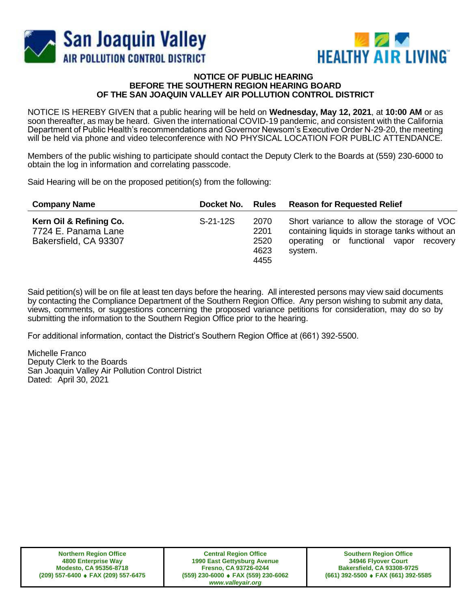



## **NOTICE OF PUBLIC HEARING BEFORE THE SOUTHERN REGION HEARING BOARD OF THE SAN JOAQUIN VALLEY AIR POLLUTION CONTROL DISTRICT**

NOTICE IS HEREBY GIVEN that a public hearing will be held on **Wednesday, May 12, 2021**, at **10:00 AM** or as soon thereafter, as may be heard. Given the international COVID-19 pandemic, and consistent with the California Department of Public Health's recommendations and Governor Newsom's Executive Order N-29-20, the meeting will be held via phone and video teleconference with NO PHYSICAL LOCATION FOR PUBLIC ATTENDANCE.

Members of the public wishing to participate should contact the Deputy Clerk to the Boards at (559) 230-6000 to obtain the log in information and correlating passcode.

Said Hearing will be on the proposed petition(s) from the following:

| <b>Company Name</b>                                                     | Docket No. | Rules                                | <b>Reason for Requested Relief</b>                                                                                                                |
|-------------------------------------------------------------------------|------------|--------------------------------------|---------------------------------------------------------------------------------------------------------------------------------------------------|
| Kern Oil & Refining Co.<br>7724 E. Panama Lane<br>Bakersfield, CA 93307 | $S-21-12S$ | 2070<br>2201<br>2520<br>4623<br>4455 | Short variance to allow the storage of VOC<br>containing liquids in storage tanks without an<br>operating or functional vapor recovery<br>system. |

Said petition(s) will be on file at least ten days before the hearing. All interested persons may view said documents by contacting the Compliance Department of the Southern Region Office. Any person wishing to submit any data, views, comments, or suggestions concerning the proposed variance petitions for consideration, may do so by submitting the information to the Southern Region Office prior to the hearing.

For additional information, contact the District's Southern Region Office at (661) 392-5500.

Michelle Franco Deputy Clerk to the Boards San Joaquin Valley Air Pollution Control District Dated: April 30, 2021

**Central Region Office 1990 East Gettysburg Avenue Fresno, CA 93726-0244 (559) 230-6000 FAX (559) 230-6062** *www.valleyair.org*